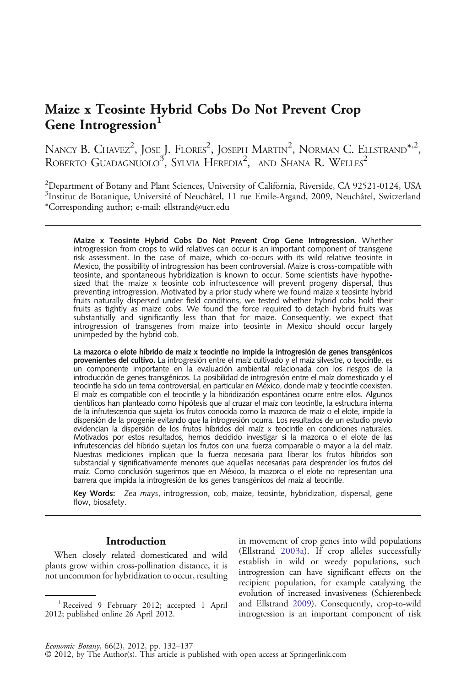# Maize x Teosinte Hybrid Cobs Do Not Prevent Crop Gene Introgression<sup>1</sup>

NANCY B. CHAVEZ $^2$ , JOSE J. Flores $^2$ , JOSEPH MARTIN $^2$ , NORMAN C. Ellstrand $^{\ast, 2}$ , ROBERTO GUADAGNUOLO<sup>3</sup>, SYLVIA HEREDIA<sup>2</sup>, AND SHANA R. WELLES<sup>2</sup>

<sup>2</sup>Department of Botany and Plant Sciences, University of California, Riverside, CA 92521-0124, USA <sup>3</sup>Institut de Botanique, Université of Neuchâtel, 11 rue Emile-Argand, 2009, Neuchâtel, Switzerland \*Corresponding author; e-mail: ellstrand@ucr.edu

Maize x Teosinte Hybrid Cobs Do Not Prevent Crop Gene Introgression. Whether introgression from crops to wild relatives can occur is an important component of transgene risk assessment. In the case of maize, which co-occurs with its wild relative teosinte in Mexico, the possibility of introgression has been controversial. Maize is cross-compatible with teosinte, and spontaneous hybridization is known to occur. Some scientists have hypothesized that the maize x teosinte cob infructescence will prevent progeny dispersal, thus preventing introgression. Motivated by a prior study where we found maize x teosinte hybrid fruits naturally dispersed under field conditions, we tested whether hybrid cobs hold their fruits as tightly as maize cobs. We found the force required to detach hybrid fruits was substantially and significantly less than that for maize. Consequently, we expect that introgression of transgenes from maize into teosinte in Mexico should occur largely unimpeded by the hybrid cob.

La mazorca o elote híbrido de maíz x teocintle no impide la introgresión de genes transgénicos provenientes del cultivo. La introgresión entre el maíz cultivado y el maíz silvestre, o teocintle, es un componente importante en la evaluación ambiental relacionada con los riesgos de la introducción de genes transgénicos. La posibilidad de introgresión entre el maíz domesticado y el teocintle ha sido un tema controversial, en particular en México, donde maíz y teocintle coexisten. El maíz es compatible con el teocintle y la hibridización espontánea ocurre entre ellos. Algunos científicos han planteado como hipótesis que al cruzar el maíz con teocintle, la estructura interna de la infrutescencia que sujeta los frutos conocida como la mazorca de maíz o el elote, impide la dispersión de la progenie evitando que la introgresión ocurra. Los resultados de un estudio previo evidencian la dispersión de los frutos híbridos del maíz x teocintle en condiciones naturales. Motivados por estos resultados, hemos decidido investigar si la mazorca o el elote de las infrutescencias del híbrido sujetan los frutos con una fuerza comparable o mayor a la del maíz. Nuestras mediciones implican que la fuerza necesaria para liberar los frutos híbridos son substancial y significativamente menores que aquellas necesarias para desprender los frutos del maíz. Como conclusión sugerimos que en México, la mazorca o el elote no representan una barrera que impida la introgresión de los genes transgénicos del maíz al teocintle.

Key Words: Zea mays, introgression, cob, maize, teosinte, hybridization, dispersal, gene flow, biosafety.

## **Introduction**

When closely related domesticated and wild plants grow within cross-pollination distance, it is not uncommon for hybridization to occur, resulting in movement of crop genes into wild populations (Ellstrand [2003a\)](#page-5-0). If crop alleles successfully establish in wild or weedy populations, such introgression can have significant effects on the recipient population, for example catalyzing the evolution of increased invasiveness (Schierenbeck and Ellstrand [2009](#page-5-0)). Consequently, crop-to-wild introgression is an important component of risk

<sup>&</sup>lt;sup>1</sup> Received 9 February 2012; accepted 1 April 2012; published online 26 April 2012.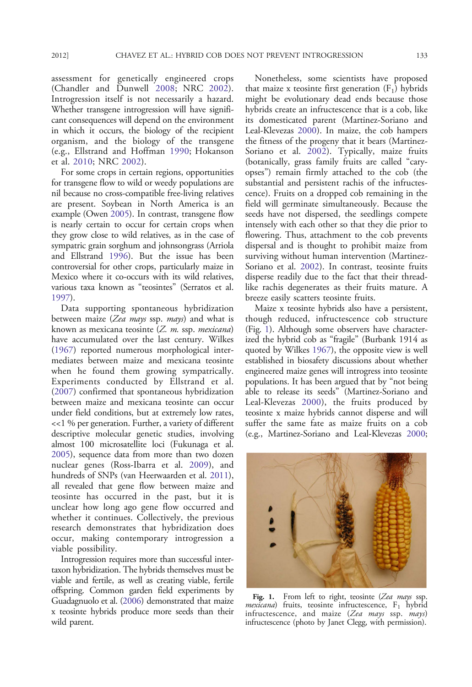assessment for genetically engineered crops (Chandler and Dunwell [2008](#page-5-0); NRC [2002](#page-5-0)). Introgression itself is not necessarily a hazard. Whether transgene introgression will have significant consequences will depend on the environment in which it occurs, the biology of the recipient organism, and the biology of the transgene (e.g., Ellstrand and Hoffman [1990](#page-5-0); Hokanson et al. [2010](#page-5-0); NRC [2002\)](#page-5-0).

For some crops in certain regions, opportunities for transgene flow to wild or weedy populations are nil because no cross-compatible free-living relatives are present. Soybean in North America is an example (Owen [2005](#page-5-0)). In contrast, transgene flow is nearly certain to occur for certain crops when they grow close to wild relatives, as in the case of sympatric grain sorghum and johnsongrass (Arriola and Ellstrand [1996](#page-5-0)). But the issue has been controversial for other crops, particularly maize in Mexico where it co-occurs with its wild relatives, various taxa known as "teosintes" (Serratos et al. [1997](#page-5-0)).

Data supporting spontaneous hybridization between maize (Zea mays ssp. mays) and what is known as mexicana teosinte  $(Z. m. ssp. mexican)$ have accumulated over the last century. Wilkes ([1967\)](#page-5-0) reported numerous morphological intermediates between maize and mexicana teosinte when he found them growing sympatrically. Experiments conducted by Ellstrand et al. ([2007\)](#page-5-0) confirmed that spontaneous hybridization between maize and mexicana teosinte can occur under field conditions, but at extremely low rates, <<1 % per generation. Further, a variety of different descriptive molecular genetic studies, involving almost 100 microsatellite loci (Fukunaga et al. [2005](#page-5-0)), sequence data from more than two dozen nuclear genes (Ross-Ibarra et al. [2009\)](#page-5-0), and hundreds of SNPs (van Heerwaarden et al. [2011\)](#page-5-0), all revealed that gene flow between maize and teosinte has occurred in the past, but it is unclear how long ago gene flow occurred and whether it continues. Collectively, the previous research demonstrates that hybridization does occur, making contemporary introgression a viable possibility.

Introgression requires more than successful intertaxon hybridization. The hybrids themselves must be viable and fertile, as well as creating viable, fertile offspring. Common garden field experiments by Guadagnuolo et al. ([2006\)](#page-5-0) demonstrated that maize x teosinte hybrids produce more seeds than their wild parent.

Nonetheless, some scientists have proposed that maize x teosinte first generation  $(F_1)$  hybrids might be evolutionary dead ends because those hybrids create an infructescence that is a cob, like its domesticated parent (Martinez-Soriano and Leal-Klevezas [2000\)](#page-5-0). In maize, the cob hampers the fitness of the progeny that it bears (Martinez-Soriano et al. [2002](#page-5-0)). Typically, maize fruits (botanically, grass family fruits are called "caryopses") remain firmly attached to the cob (the substantial and persistent rachis of the infructescence). Fruits on a dropped cob remaining in the field will germinate simultaneously. Because the seeds have not dispersed, the seedlings compete intensely with each other so that they die prior to flowering. Thus, attachment to the cob prevents dispersal and is thought to prohibit maize from surviving without human intervention (Martinez-Soriano et al. [2002\)](#page-5-0). In contrast, teosinte fruits disperse readily due to the fact that their threadlike rachis degenerates as their fruits mature. A breeze easily scatters teosinte fruits.

Maize x teosinte hybrids also have a persistent, though reduced, infructescence cob structure (Fig. 1). Although some observers have characterized the hybrid cob as "fragile" (Burbank 1914 as quoted by Wilkes [1967\)](#page-5-0), the opposite view is well established in biosafety discussions about whether engineered maize genes will introgress into teosinte populations. It has been argued that by "not being able to release its seeds" (Martinez-Soriano and Leal-Klevezas [2000\)](#page-5-0), the fruits produced by teosinte x maize hybrids cannot disperse and will suffer the same fate as maize fruits on a cob (e.g., Martinez-Soriano and Leal-Klevezas [2000;](#page-5-0)



Fig. 1. From left to right, teosinte (Zea mays ssp. mexicana) fruits, teosinte infructescence,  $F_1$  hybrid *mexicana*) fruits, teosinte infructescence,  $F_1$  hybrid<br>infructescence, and maize (Zea mays ssp. mays) infructescence, and maize (Zea mays ssp. mays)<br>infructescence (photo by Janet Clegg. with permission). infructescence (photo by Janet Clegg, with permission).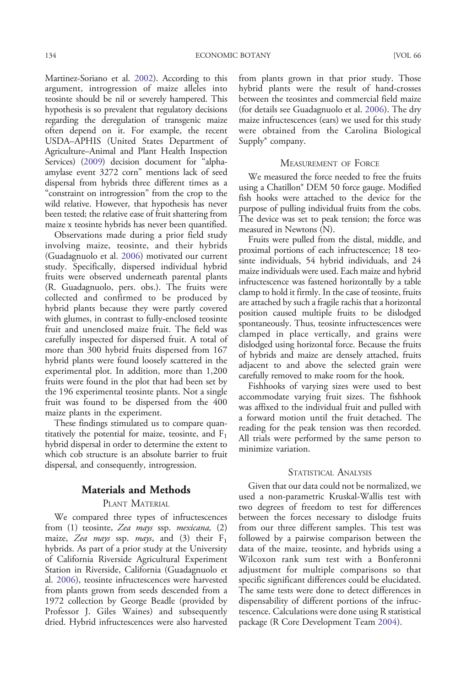Martinez-Soriano et al. [2002](#page-5-0)). According to this argument, introgression of maize alleles into teosinte should be nil or severely hampered. This hypothesis is so prevalent that regulatory decisions regarding the deregulation of transgenic maize often depend on it. For example, the recent USDA–APHIS (United States Department of Agriculture–Animal and Plant Health Inspection Services) ([2009](#page-5-0)) decision document for "alphaamylase event 3272 corn" mentions lack of seed dispersal from hybrids three different times as a "constraint on introgression" from the crop to the wild relative. However, that hypothesis has never been tested; the relative ease of fruit shattering from maize x teosinte hybrids has never been quantified.

Observations made during a prior field study involving maize, teosinte, and their hybrids (Guadagnuolo et al. [2006](#page-5-0)) motivated our current study. Specifically, dispersed individual hybrid fruits were observed underneath parental plants (R. Guadagnuolo, pers. obs.). The fruits were collected and confirmed to be produced by hybrid plants because they were partly covered with glumes, in contrast to fully-enclosed teosinte fruit and unenclosed maize fruit. The field was carefully inspected for dispersed fruit. A total of more than 300 hybrid fruits dispersed from 167 hybrid plants were found loosely scattered in the experimental plot. In addition, more than 1,200 fruits were found in the plot that had been set by the 196 experimental teosinte plants. Not a single fruit was found to be dispersed from the 400 maize plants in the experiment.

These findings stimulated us to compare quantitatively the potential for maize, teosinte, and  $F_1$ hybrid dispersal in order to determine the extent to which cob structure is an absolute barrier to fruit dispersal, and consequently, introgression.

#### Materials and Methods

## PLANT MATERIAL

We compared three types of infructescences from (1) teosinte, Zea mays ssp. mexicana, (2) maize, Zea mays ssp. mays, and (3) their  $F_1$ hybrids. As part of a prior study at the University of California Riverside Agricultural Experiment Station in Riverside, California (Guadagnuolo et al. [2006](#page-5-0)), teosinte infructescences were harvested from plants grown from seeds descended from a 1972 collection by George Beadle (provided by Professor J. Giles Waines) and subsequently dried. Hybrid infructescences were also harvested

from plants grown in that prior study. Those hybrid plants were the result of hand-crosses between the teosintes and commercial field maize (for details see Guadagnuolo et al. [2006\)](#page-5-0). The dry maize infructescences (ears) we used for this study were obtained from the Carolina Biological Supply® company.

#### MEASUREMENT OF FORCE

We measured the force needed to free the fruits using a Chatillon® DEM 50 force gauge. Modified fish hooks were attached to the device for the purpose of pulling individual fruits from the cobs. The device was set to peak tension; the force was measured in Newtons (N).

Fruits were pulled from the distal, middle, and proximal portions of each infructescence; 18 teosinte individuals, 54 hybrid individuals, and 24 maize individuals were used. Each maize and hybrid infructescence was fastened horizontally by a table clamp to hold it firmly. In the case of teosinte, fruits are attached by such a fragile rachis that a horizontal position caused multiple fruits to be dislodged spontaneously. Thus, teosinte infructescences were clamped in place vertically, and grains were dislodged using horizontal force. Because the fruits of hybrids and maize are densely attached, fruits adjacent to and above the selected grain were carefully removed to make room for the hook.

Fishhooks of varying sizes were used to best accommodate varying fruit sizes. The fishhook was affixed to the individual fruit and pulled with a forward motion until the fruit detached. The reading for the peak tension was then recorded. All trials were performed by the same person to minimize variation.

#### STATISTICAL ANALYSIS

Given that our data could not be normalized, we used a non-parametric Kruskal-Wallis test with two degrees of freedom to test for differences between the forces necessary to dislodge fruits from our three different samples. This test was followed by a pairwise comparison between the data of the maize, teosinte, and hybrids using a Wilcoxon rank sum test with a Bonferonni adjustment for multiple comparisons so that specific significant differences could be elucidated. The same tests were done to detect differences in dispensability of different portions of the infructescence. Calculations were done using R statistical package (R Core Development Team [2004](#page-5-0)).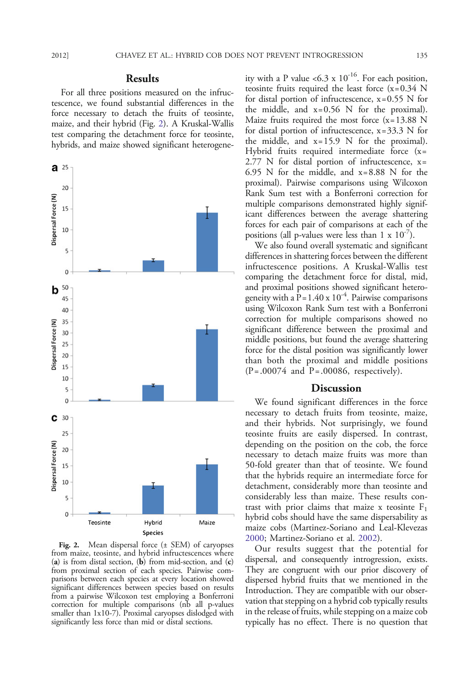#### Results

For all three positions measured on the infructescence, we found substantial differences in the force necessary to detach the fruits of teosinte, maize, and their hybrid (Fig. 2). A Kruskal-Wallis test comparing the detachment force for teosinte, hybrids, and maize showed significant heterogene-



Fig. 2. Mean dispersal force (± SEM) of caryopses from maize, teosinte, and hybrid infructescences where (a) is from distal section, (b) from mid-section, and (c) from proximal section of each species. Pairwise comparisons between each species at every location showed significant differences between species based on results from a pairwise Wilcoxon test employing a Bonferroni correction for multiple comparisons (nb all p-values smaller than 1x10-7). Proximal caryopses dislodged with significantly less force than mid or distal sections.

ity with a P value <6.3 x  $10^{-16}$ . For each position, teosinte fruits required the least force (x=0.34 N for distal portion of infructescence,  $x=0.55$  N for the middle, and  $x=0.56$  N for the proximal). Maize fruits required the most force  $(x=13.88 \text{ N})$ for distal portion of infructescence, x=33.3 N for the middle, and  $x=15.9$  N for the proximal). Hybrid fruits required intermediate force (x=  $2.77$  N for distal portion of infructescence,  $x=$ 6.95 N for the middle, and x=8.88 N for the proximal). Pairwise comparisons using Wilcoxon Rank Sum test with a Bonferroni correction for multiple comparisons demonstrated highly significant differences between the average shattering forces for each pair of comparisons at each of the positions (all p-values were less than  $1 \times 10^{-7}$ ).

We also found overall systematic and significant differences in shattering forces between the different infructescence positions. A Kruskal-Wallis test comparing the detachment force for distal, mid, and proximal positions showed significant heterogeneity with a  $\bar{P} = 1.40 \times 10^{-4}$ . Pairwise comparisons using Wilcoxon Rank Sum test with a Bonferroni correction for multiple comparisons showed no significant difference between the proximal and middle positions, but found the average shattering force for the distal position was significantly lower than both the proximal and middle positions  $(P=.00074$  and  $P=.00086$ , respectively).

#### Discussion

We found significant differences in the force necessary to detach fruits from teosinte, maize, and their hybrids. Not surprisingly, we found teosinte fruits are easily dispersed. In contrast, depending on the position on the cob, the force necessary to detach maize fruits was more than 50-fold greater than that of teosinte. We found that the hybrids require an intermediate force for detachment, considerably more than teosinte and considerably less than maize. These results contrast with prior claims that maize x teosinte  $F_1$ hybrid cobs should have the same dispersability as maize cobs (Martinez-Soriano and Leal-Klevezas [2000](#page-5-0); Martinez-Soriano et al. [2002](#page-5-0)).

Our results suggest that the potential for dispersal, and consequently introgression, exists. They are congruent with our prior discovery of dispersed hybrid fruits that we mentioned in the Introduction. They are compatible with our observation that stepping on a hybrid cob typically results in the release of fruits, while stepping on a maize cob typically has no effect. There is no question that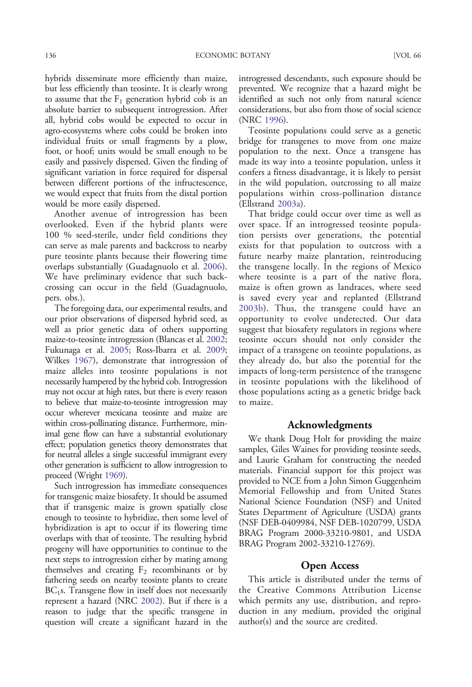hybrids disseminate more efficiently than maize, but less efficiently than teosinte. It is clearly wrong to assume that the  $F_1$  generation hybrid cob is an absolute barrier to subsequent introgression. After all, hybrid cobs would be expected to occur in agro-ecosystems where cobs could be broken into individual fruits or small fragments by a plow, foot, or hoof; units would be small enough to be easily and passively dispersed. Given the finding of significant variation in force required for dispersal between different portions of the infructescence, we would expect that fruits from the distal portion would be more easily dispersed.

Another avenue of introgression has been overlooked. Even if the hybrid plants were 100 % seed-sterile, under field conditions they can serve as male parents and backcross to nearby pure teosinte plants because their flowering time overlaps substantially (Guadagnuolo et al. [2006\)](#page-5-0). We have preliminary evidence that such backcrossing can occur in the field (Guadagnuolo, pers. obs.).

The foregoing data, our experimental results, and our prior observations of dispersed hybrid seed, as well as prior genetic data of others supporting maize-to-teosinte introgression (Blancas et al. [2002;](#page-5-0) Fukunaga et al. [2005;](#page-5-0) Ross-Ibarra et al. [2009;](#page-5-0) Wilkes [1967](#page-5-0)), demonstrate that introgression of maize alleles into teosinte populations is not necessarily hampered by the hybrid cob. Introgression may not occur at high rates, but there is every reason to believe that maize-to-teosinte introgression may occur wherever mexicana teosinte and maize are within cross-pollinating distance. Furthermore, minimal gene flow can have a substantial evolutionary effect; population genetics theory demonstrates that for neutral alleles a single successful immigrant every other generation is sufficient to allow introgression to proceed (Wright [1969\)](#page-5-0).

Such introgression has immediate consequences for transgenic maize biosafety. It should be assumed that if transgenic maize is grown spatially close enough to teosinte to hybridize, then some level of hybridization is apt to occur if its flowering time overlaps with that of teosinte. The resulting hybrid progeny will have opportunities to continue to the next steps to introgression either by mating among themselves and creating  $F_2$  recombinants or by fathering seeds on nearby teosinte plants to create  $BC<sub>1</sub>s$ . Transgene flow in itself does not necessarily represent a hazard (NRC [2002](#page-5-0)). But if there is a reason to judge that the specific transgene in question will create a significant hazard in the

introgressed descendants, such exposure should be prevented. We recognize that a hazard might be identified as such not only from natural science considerations, but also from those of social science (NRC [1996\)](#page-5-0).

Teosinte populations could serve as a genetic bridge for transgenes to move from one maize population to the next. Once a transgene has made its way into a teosinte population, unless it confers a fitness disadvantage, it is likely to persist in the wild population, outcrossing to all maize populations within cross-pollination distance (Ellstrand [2003a\)](#page-5-0).

That bridge could occur over time as well as over space. If an introgressed teosinte population persists over generations, the potential exists for that population to outcross with a future nearby maize plantation, reintroducing the transgene locally. In the regions of Mexico where teosinte is a part of the native flora, maize is often grown as landraces, where seed is saved every year and replanted (Ellstrand [2003b\)](#page-5-0). Thus, the transgene could have an opportunity to evolve undetected. Our data suggest that biosafety regulators in regions where teosinte occurs should not only consider the impact of a transgene on teosinte populations, as they already do, but also the potential for the impacts of long-term persistence of the transgene in teosinte populations with the likelihood of those populations acting as a genetic bridge back to maize.

#### Acknowledgments

We thank Doug Holt for providing the maize samples, Giles Waines for providing teosinte seeds, and Laurie Graham for constructing the needed materials. Financial support for this project was provided to NCE from a John Simon Guggenheim Memorial Fellowship and from United States National Science Foundation (NSF) and United States Department of Agriculture (USDA) grants (NSF DEB-0409984, NSF DEB-1020799, USDA BRAG Program 2000-33210-9801, and USDA BRAG Program 2002-33210-12769).

#### Open Access

This article is distributed under the terms of the Creative Commons Attribution License which permits any use, distribution, and reproduction in any medium, provided the original author(s) and the source are credited.